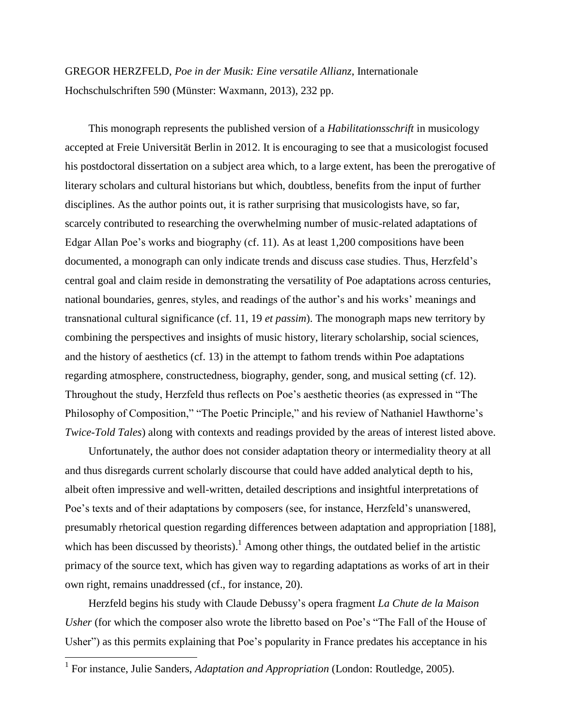GREGOR HERZFELD, *Poe in der Musik: Eine versatile Allianz*, Internationale Hochschulschriften 590 (Münster: Waxmann, 2013), 232 pp.

This monograph represents the published version of a *Habilitationsschrift* in musicology accepted at Freie Universität Berlin in 2012. It is encouraging to see that a musicologist focused his postdoctoral dissertation on a subject area which, to a large extent, has been the prerogative of literary scholars and cultural historians but which, doubtless, benefits from the input of further disciplines. As the author points out, it is rather surprising that musicologists have, so far, scarcely contributed to researching the overwhelming number of music-related adaptations of Edgar Allan Poe's works and biography (cf. 11). As at least 1,200 compositions have been documented, a monograph can only indicate trends and discuss case studies. Thus, Herzfeld's central goal and claim reside in demonstrating the versatility of Poe adaptations across centuries, national boundaries, genres, styles, and readings of the author's and his works' meanings and transnational cultural significance (cf. 11, 19 *et passim*). The monograph maps new territory by combining the perspectives and insights of music history, literary scholarship, social sciences, and the history of aesthetics (cf. 13) in the attempt to fathom trends within Poe adaptations regarding atmosphere, constructedness, biography, gender, song, and musical setting (cf. 12). Throughout the study, Herzfeld thus reflects on Poe's aesthetic theories (as expressed in "The Philosophy of Composition," "The Poetic Principle," and his review of Nathaniel Hawthorne's *Twice-Told Tales*) along with contexts and readings provided by the areas of interest listed above.

Unfortunately, the author does not consider adaptation theory or intermediality theory at all and thus disregards current scholarly discourse that could have added analytical depth to his, albeit often impressive and well-written, detailed descriptions and insightful interpretations of Poe's texts and of their adaptations by composers (see, for instance, Herzfeld's unanswered, presumably rhetorical question regarding differences between adaptation and appropriation [188], which has been discussed by theorists).<sup>1</sup> Among other things, the outdated belief in the artistic primacy of the source text, which has given way to regarding adaptations as works of art in their own right, remains unaddressed (cf., for instance, 20).

Herzfeld begins his study with Claude Debussy's opera fragment *La Chute de la Maison Usher* (for which the composer also wrote the libretto based on Poe's "The Fall of the House of Usher") as this permits explaining that Poe's popularity in France predates his acceptance in his

 1 For instance, Julie Sanders, *Adaptation and Appropriation* (London: Routledge, 2005).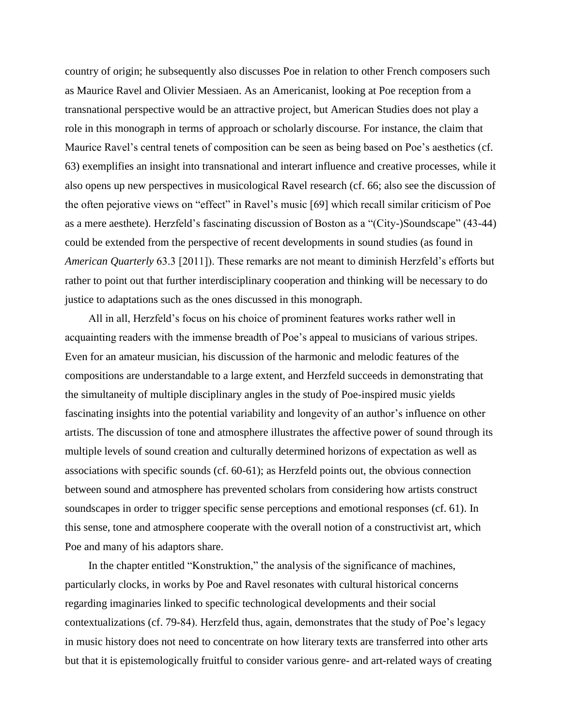country of origin; he subsequently also discusses Poe in relation to other French composers such as Maurice Ravel and Olivier Messiaen. As an Americanist, looking at Poe reception from a transnational perspective would be an attractive project, but American Studies does not play a role in this monograph in terms of approach or scholarly discourse. For instance, the claim that Maurice Ravel's central tenets of composition can be seen as being based on Poe's aesthetics (cf. 63) exemplifies an insight into transnational and interart influence and creative processes, while it also opens up new perspectives in musicological Ravel research (cf. 66; also see the discussion of the often pejorative views on "effect" in Ravel's music [69] which recall similar criticism of Poe as a mere aesthete). Herzfeld's fascinating discussion of Boston as a "(City-)Soundscape" (43-44) could be extended from the perspective of recent developments in sound studies (as found in *American Quarterly* 63.3 [2011]). These remarks are not meant to diminish Herzfeld's efforts but rather to point out that further interdisciplinary cooperation and thinking will be necessary to do justice to adaptations such as the ones discussed in this monograph.

All in all, Herzfeld's focus on his choice of prominent features works rather well in acquainting readers with the immense breadth of Poe's appeal to musicians of various stripes. Even for an amateur musician, his discussion of the harmonic and melodic features of the compositions are understandable to a large extent, and Herzfeld succeeds in demonstrating that the simultaneity of multiple disciplinary angles in the study of Poe-inspired music yields fascinating insights into the potential variability and longevity of an author's influence on other artists. The discussion of tone and atmosphere illustrates the affective power of sound through its multiple levels of sound creation and culturally determined horizons of expectation as well as associations with specific sounds (cf. 60-61); as Herzfeld points out, the obvious connection between sound and atmosphere has prevented scholars from considering how artists construct soundscapes in order to trigger specific sense perceptions and emotional responses (cf. 61). In this sense, tone and atmosphere cooperate with the overall notion of a constructivist art, which Poe and many of his adaptors share.

In the chapter entitled "Konstruktion," the analysis of the significance of machines, particularly clocks, in works by Poe and Ravel resonates with cultural historical concerns regarding imaginaries linked to specific technological developments and their social contextualizations (cf. 79-84). Herzfeld thus, again, demonstrates that the study of Poe's legacy in music history does not need to concentrate on how literary texts are transferred into other arts but that it is epistemologically fruitful to consider various genre- and art-related ways of creating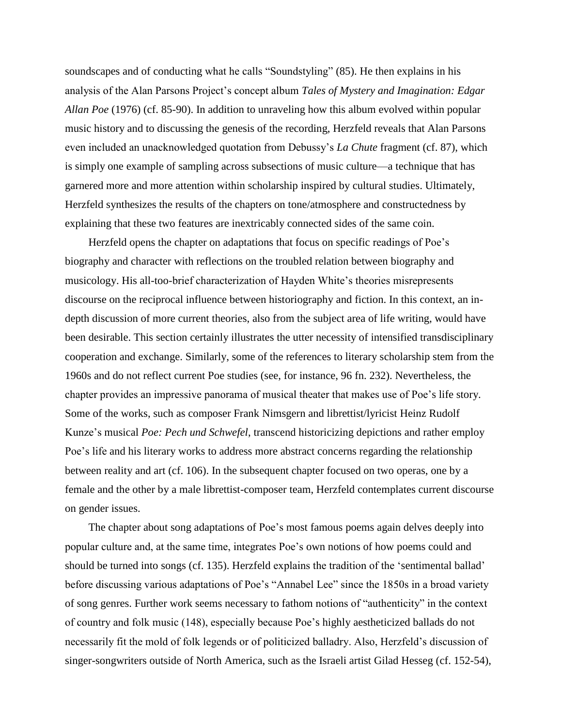soundscapes and of conducting what he calls "Soundstyling" (85). He then explains in his analysis of the Alan Parsons Project's concept album *Tales of Mystery and Imagination: Edgar Allan Poe* (1976) (cf. 85-90). In addition to unraveling how this album evolved within popular music history and to discussing the genesis of the recording, Herzfeld reveals that Alan Parsons even included an unacknowledged quotation from Debussy's *La Chute* fragment (cf. 87), which is simply one example of sampling across subsections of music culture—a technique that has garnered more and more attention within scholarship inspired by cultural studies. Ultimately, Herzfeld synthesizes the results of the chapters on tone/atmosphere and constructedness by explaining that these two features are inextricably connected sides of the same coin.

Herzfeld opens the chapter on adaptations that focus on specific readings of Poe's biography and character with reflections on the troubled relation between biography and musicology. His all-too-brief characterization of Hayden White's theories misrepresents discourse on the reciprocal influence between historiography and fiction. In this context, an indepth discussion of more current theories, also from the subject area of life writing, would have been desirable. This section certainly illustrates the utter necessity of intensified transdisciplinary cooperation and exchange. Similarly, some of the references to literary scholarship stem from the 1960s and do not reflect current Poe studies (see, for instance, 96 fn. 232). Nevertheless, the chapter provides an impressive panorama of musical theater that makes use of Poe's life story. Some of the works, such as composer Frank Nimsgern and librettist/lyricist Heinz Rudolf Kunze's musical *Poe: Pech und Schwefel*, transcend historicizing depictions and rather employ Poe's life and his literary works to address more abstract concerns regarding the relationship between reality and art (cf. 106). In the subsequent chapter focused on two operas, one by a female and the other by a male librettist-composer team, Herzfeld contemplates current discourse on gender issues.

The chapter about song adaptations of Poe's most famous poems again delves deeply into popular culture and, at the same time, integrates Poe's own notions of how poems could and should be turned into songs (cf. 135). Herzfeld explains the tradition of the 'sentimental ballad' before discussing various adaptations of Poe's "Annabel Lee" since the 1850s in a broad variety of song genres. Further work seems necessary to fathom notions of "authenticity" in the context of country and folk music (148), especially because Poe's highly aestheticized ballads do not necessarily fit the mold of folk legends or of politicized balladry. Also, Herzfeld's discussion of singer-songwriters outside of North America, such as the Israeli artist Gilad Hesseg (cf. 152-54),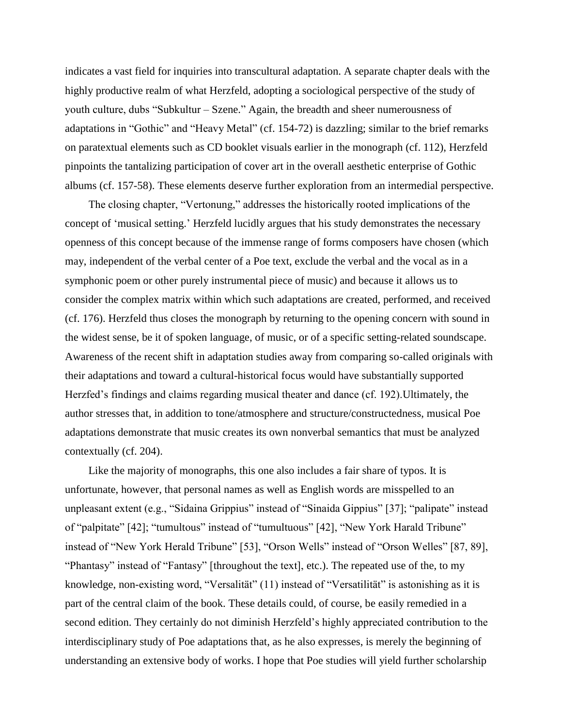indicates a vast field for inquiries into transcultural adaptation. A separate chapter deals with the highly productive realm of what Herzfeld, adopting a sociological perspective of the study of youth culture, dubs "Subkultur – Szene." Again, the breadth and sheer numerousness of adaptations in "Gothic" and "Heavy Metal" (cf. 154-72) is dazzling; similar to the brief remarks on paratextual elements such as CD booklet visuals earlier in the monograph (cf. 112), Herzfeld pinpoints the tantalizing participation of cover art in the overall aesthetic enterprise of Gothic albums (cf. 157-58). These elements deserve further exploration from an intermedial perspective.

The closing chapter, "Vertonung," addresses the historically rooted implications of the concept of 'musical setting.' Herzfeld lucidly argues that his study demonstrates the necessary openness of this concept because of the immense range of forms composers have chosen (which may, independent of the verbal center of a Poe text, exclude the verbal and the vocal as in a symphonic poem or other purely instrumental piece of music) and because it allows us to consider the complex matrix within which such adaptations are created, performed, and received (cf. 176). Herzfeld thus closes the monograph by returning to the opening concern with sound in the widest sense, be it of spoken language, of music, or of a specific setting-related soundscape. Awareness of the recent shift in adaptation studies away from comparing so-called originals with their adaptations and toward a cultural-historical focus would have substantially supported Herzfed's findings and claims regarding musical theater and dance (cf. 192).Ultimately, the author stresses that, in addition to tone/atmosphere and structure/constructedness, musical Poe adaptations demonstrate that music creates its own nonverbal semantics that must be analyzed contextually (cf. 204).

Like the majority of monographs, this one also includes a fair share of typos. It is unfortunate, however, that personal names as well as English words are misspelled to an unpleasant extent (e.g., "Sidaina Grippius" instead of "Sinaida Gippius" [37]; "palipate" instead of "palpitate" [42]; "tumultous" instead of "tumultuous" [42], "New York Harald Tribune" instead of "New York Herald Tribune" [53], "Orson Wells" instead of "Orson Welles" [87, 89], "Phantasy" instead of "Fantasy" [throughout the text], etc.). The repeated use of the, to my knowledge, non-existing word, "Versalität" (11) instead of "Versatilität" is astonishing as it is part of the central claim of the book. These details could, of course, be easily remedied in a second edition. They certainly do not diminish Herzfeld's highly appreciated contribution to the interdisciplinary study of Poe adaptations that, as he also expresses, is merely the beginning of understanding an extensive body of works. I hope that Poe studies will yield further scholarship